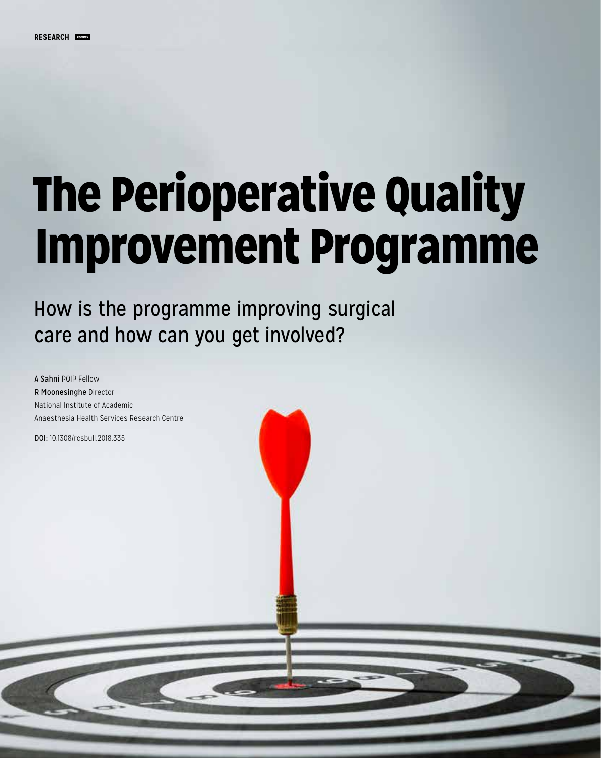# The Perioperative Quality Improvement Programme

How is the programme improving surgical care and how can you get involved?

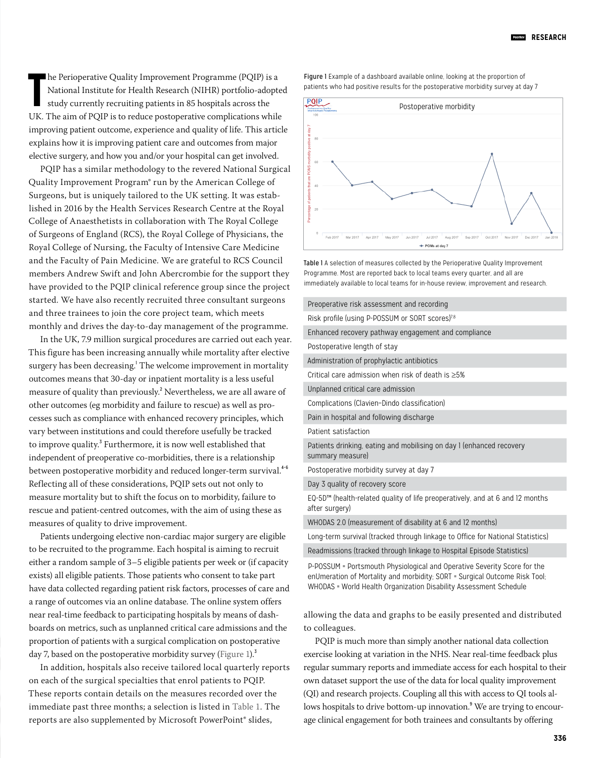**The Perioperative Quality Improvement Programme (PQIP) is a National Institute for Health Research (NIHR) portfolio-adopted study currently recruiting patients in 85 hospitals across the UK. The aim of PQIP is to reduce p** he Perioperative Quality Improvement Programme (PQIP) is a National Institute for Health Research (NIHR) portfolio-adopted study currently recruiting patients in 85 hospitals across the improving patient outcome, experience and quality of life. This article explains how it is improving patient care and outcomes from major elective surgery, and how you and/or your hospital can get involved.

PQIP has a similar methodology to the revered National Surgical Quality Improvement Program® run by the American College of Surgeons, but is uniquely tailored to the UK setting. It was established in 2016 by the Health Services Research Centre at the Royal College of Anaesthetists in collaboration with The Royal College of Surgeons of England (RCS), the Royal College of Physicians, the Royal College of Nursing, the Faculty of Intensive Care Medicine and the Faculty of Pain Medicine. We are grateful to RCS Council members Andrew Swift and John Abercrombie for the support they have provided to the PQIP clinical reference group since the project started. We have also recently recruited three consultant surgeons and three trainees to join the core project team, which meets monthly and drives the day-to-day management of the programme.

In the UK, 7.9 million surgical procedures are carried out each year. This figure has been increasing annually while mortality after elective surgery has been decreasing.' The welcome improvement in mortality outcomes means that 30-day or inpatient mortality is a less useful measure of quality than previously.<sup>2</sup> Nevertheless, we are all aware of other outcomes (eg morbidity and failure to rescue) as well as processes such as compliance with enhanced recovery principles, which vary between institutions and could therefore usefully be tracked to improve quality.<sup>3</sup> Furthermore, it is now well established that independent of preoperative co-morbidities, there is a relationship between postoperative morbidity and reduced longer-term survival.<sup>4-6</sup> Reflecting all of these considerations, PQIP sets out not only to measure mortality but to shift the focus on to morbidity, failure to rescue and patient-centred outcomes, with the aim of using these as measures of quality to drive improvement.

Patients undergoing elective non-cardiac major surgery are eligible to be recruited to the programme. Each hospital is aiming to recruit either a random sample of 3–5 eligible patients per week or (if capacity exists) all eligible patients. Those patients who consent to take part have data collected regarding patient risk factors, processes of care and a range of outcomes via an online database. The online system offers near real-time feedback to participating hospitals by means of dashboards on metrics, such as unplanned critical care admissions and the proportion of patients with a surgical complication on postoperative day 7, based on the postoperative morbidity survey (Figure 1).<sup>3</sup>

In addition, hospitals also receive tailored local quarterly reports on each of the surgical specialties that enrol patients to PQIP. These reports contain details on the measures recorded over the immediate past three months; a selection is listed in Table 1. The reports are also supplemented by Microsoft PowerPoint® slides,

Figure 1 Example of a dashboard available online, looking at the proportion of patients who had positive results for the postoperative morbidity survey at day 7



Table 1 A selection of measures collected by the Perioperative Quality Improvement Programme. Most are reported back to local teams every quarter, and all are immediately available to local teams for in-house review, improvement and research.

| Preoperative risk assessment and recording                                                      |
|-------------------------------------------------------------------------------------------------|
| Risk profile (using P-POSSUM or SORT scores) <sup>7,8</sup>                                     |
| Enhanced recovery pathway engagement and compliance                                             |
| Postoperative length of stay                                                                    |
| Administration of prophylactic antibiotics                                                      |
| Critical care admission when risk of death is >5%                                               |
| Unplanned critical care admission                                                               |
| Complications (Clavien-Dindo classification)                                                    |
| Pain in hospital and following discharge                                                        |
| Patient satisfaction                                                                            |
| Patients drinking, eating and mobilising on day I (enhanced recovery<br>summary measure)        |
| Postoperative morbidity survey at day 7                                                         |
| Day 3 quality of recovery score                                                                 |
| EQ-5D™ (health-related quality of life preoperatively, and at 6 and 12 months<br>after surgery) |
| WHODAS 2.0 (measurement of disability at 6 and 12 months)                                       |
| Long-term survival (tracked through linkage to Office for National Statistics)                  |
| Readmissions (tracked through linkage to Hospital Episode Statistics)                           |
|                                                                                                 |

P-POSSUM = Portsmouth Physiological and Operative Severity Score for the enUmeration of Mortality and morbidity: SORT = Surgical Outcome Risk Tool: WHODAS = World Health Organization Disability Assessment Schedule

allowing the data and graphs to be easily presented and distributed to colleagues.

PQIP is much more than simply another national data collection exercise looking at variation in the NHS. Near real-time feedback plus regular summary reports and immediate access for each hospital to their own dataset support the use of the data for local quality improvement (QI) and research projects. Coupling all this with access to QI tools allows hospitals to drive bottom-up innovation.<sup>9</sup> We are trying to encourage clinical engagement for both trainees and consultants by offering